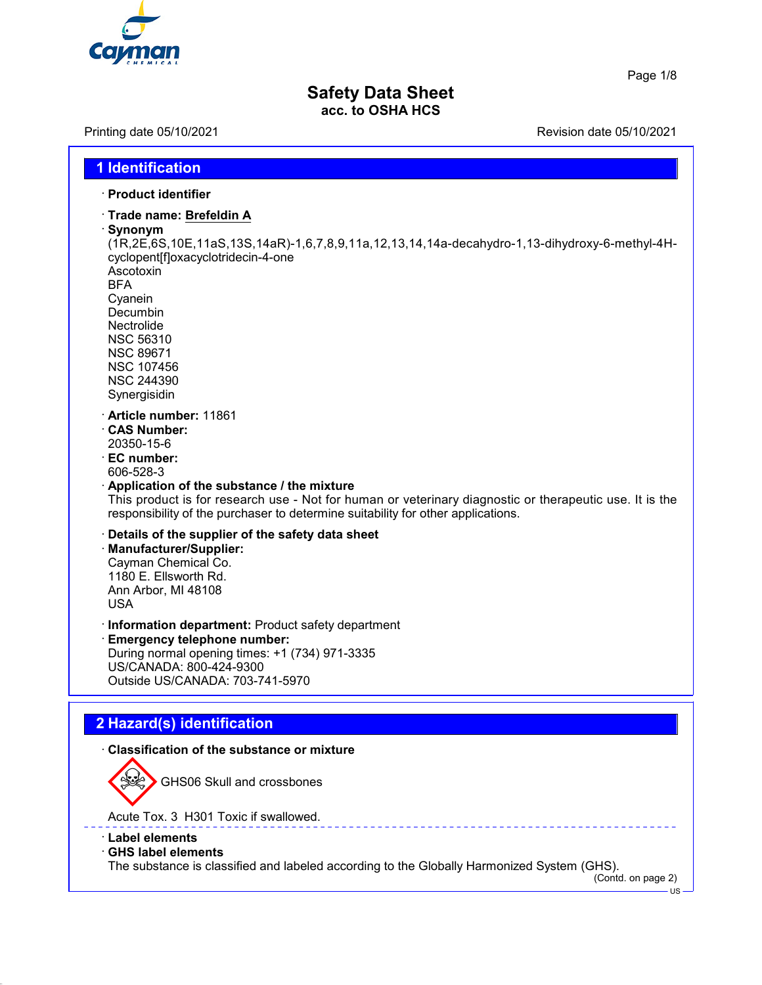

Page 1/8

# **Safety Data Sheet acc. to OSHA HCS**

Printing date 05/10/2021 Revision date 05/10/2021

| <b>1 Identification</b>                                                                                                                                                                                                                                                                                                                         |
|-------------------------------------------------------------------------------------------------------------------------------------------------------------------------------------------------------------------------------------------------------------------------------------------------------------------------------------------------|
| · Product identifier                                                                                                                                                                                                                                                                                                                            |
| · Trade name: Brefeldin A<br>· Synonym<br>(1R,2E,6S,10E,11aS,13S,14aR)-1,6,7,8,9,11a,12,13,14,14a-decahydro-1,13-dihydroxy-6-methyl-4H-<br>cyclopent[f]oxacyclotridecin-4-one<br>Ascotoxin<br><b>BFA</b><br>Cyanein<br>Decumbin<br>Nectrolide<br><b>NSC 56310</b><br><b>NSC 89671</b><br><b>NSC 107456</b><br><b>NSC 244390</b><br>Synergisidin |
| · Article number: 11861<br><b>CAS Number:</b><br>20350-15-6<br>$\cdot$ EC number:<br>606-528-3<br>Application of the substance / the mixture<br>This product is for research use - Not for human or veterinary diagnostic or therapeutic use. It is the<br>responsibility of the purchaser to determine suitability for other applications.     |
| Details of the supplier of the safety data sheet<br>· Manufacturer/Supplier:<br>Cayman Chemical Co.<br>1180 E. Ellsworth Rd.<br>Ann Arbor, MI 48108<br><b>USA</b>                                                                                                                                                                               |
| · Information department: Product safety department<br><b>Emergency telephone number:</b><br>During normal opening times: +1 (734) 971-3335<br>US/CANADA: 800-424-9300<br>Outside US/CANADA: 703-741-5970                                                                                                                                       |
|                                                                                                                                                                                                                                                                                                                                                 |
| 2 Hazard(s) identification                                                                                                                                                                                                                                                                                                                      |
| · Classification of the substance or mixture                                                                                                                                                                                                                                                                                                    |
| GHS06 Skull and crossbones                                                                                                                                                                                                                                                                                                                      |
| Acute Tox. 3 H301 Toxic if swallowed.                                                                                                                                                                                                                                                                                                           |

- · **Label elements**
- · **GHS label elements**

The substance is classified and labeled according to the Globally Harmonized System (GHS).

(Contd. on page 2) US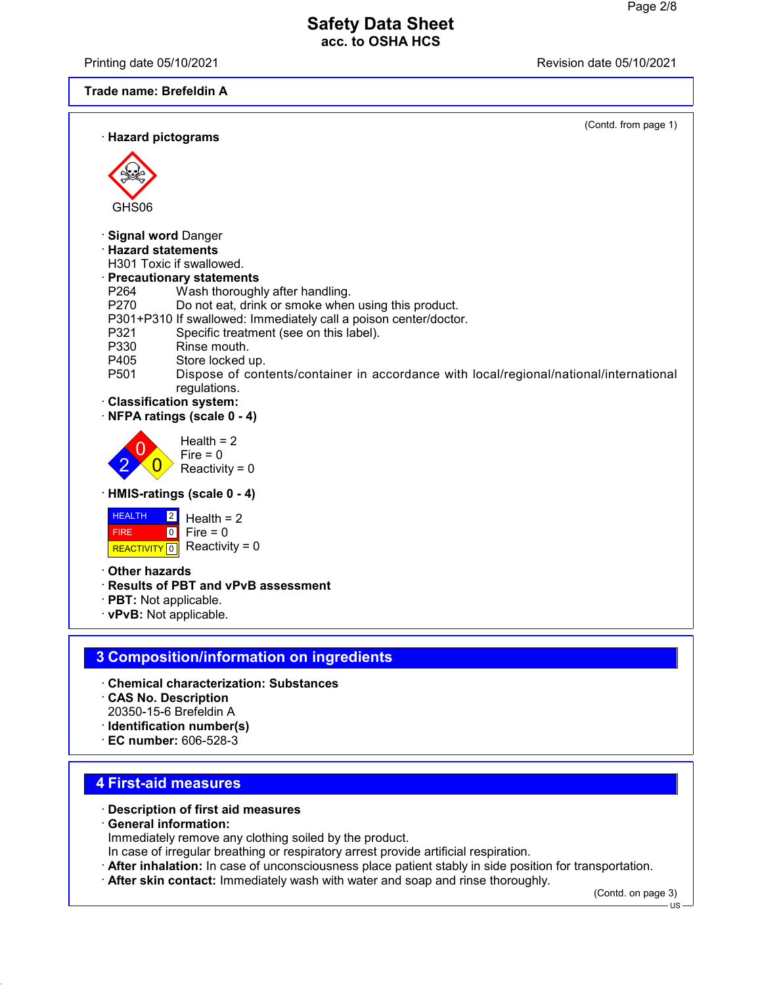Printing date 05/10/2021 Revision date 05/10/2021

#### **Trade name: Brefeldin A**



- 20350-15-6 Brefeldin A
- · **Identification number(s)**
- · **EC number:** 606-528-3

# **4 First-aid measures**

- · **Description of first aid measures**
- · **General information:**
- Immediately remove any clothing soiled by the product.
- In case of irregular breathing or respiratory arrest provide artificial respiration.
- · **After inhalation:** In case of unconsciousness place patient stably in side position for transportation.
- · **After skin contact:** Immediately wash with water and soap and rinse thoroughly.

(Contd. on page 3)

US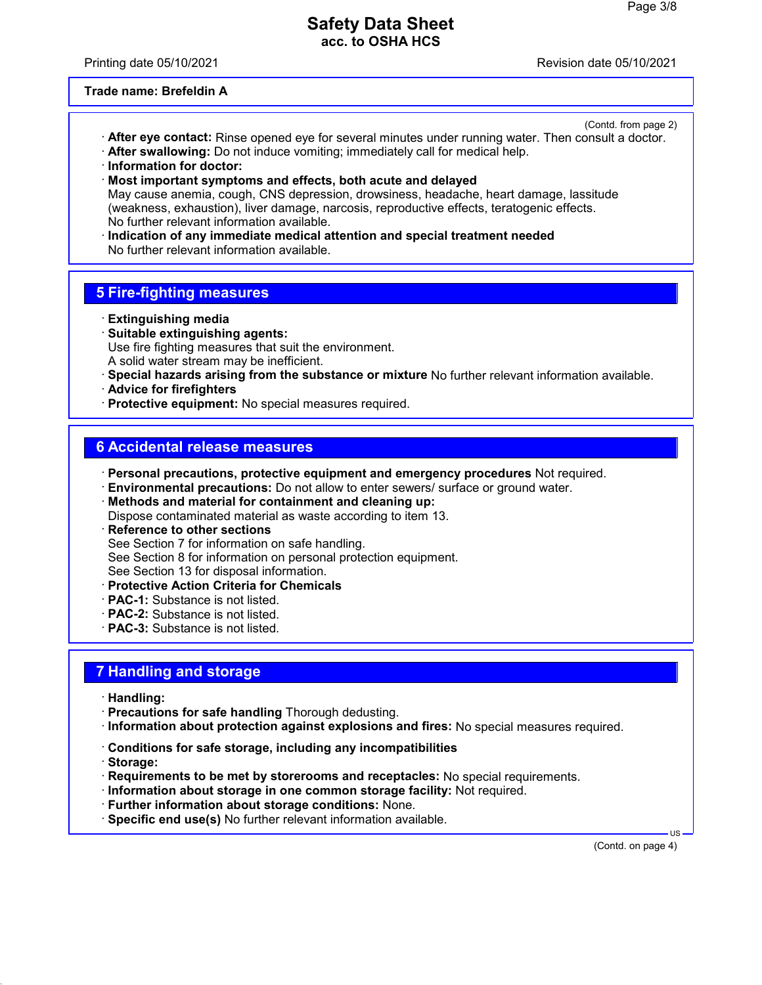Printing date 05/10/2021 Revision date 05/10/2021

#### **Trade name: Brefeldin A**

(Contd. from page 2)

- · **After eye contact:** Rinse opened eye for several minutes under running water. Then consult a doctor. · **After swallowing:** Do not induce vomiting; immediately call for medical help.
- · **Information for doctor:**
- · **Most important symptoms and effects, both acute and delayed** May cause anemia, cough, CNS depression, drowsiness, headache, heart damage, lassitude (weakness, exhaustion), liver damage, narcosis, reproductive effects, teratogenic effects. No further relevant information available.
- · **Indication of any immediate medical attention and special treatment needed** No further relevant information available.

# **5 Fire-fighting measures**

- · **Extinguishing media**
- · **Suitable extinguishing agents:** Use fire fighting measures that suit the environment. A solid water stream may be inefficient.
- · **Special hazards arising from the substance or mixture** No further relevant information available.
- · **Advice for firefighters**
- · **Protective equipment:** No special measures required.

#### **6 Accidental release measures**

- · **Personal precautions, protective equipment and emergency procedures** Not required.
- · **Environmental precautions:** Do not allow to enter sewers/ surface or ground water.
- · **Methods and material for containment and cleaning up:**
- Dispose contaminated material as waste according to item 13.
- · **Reference to other sections** See Section 7 for information on safe handling.
- See Section 8 for information on personal protection equipment.
- See Section 13 for disposal information.
- · **Protective Action Criteria for Chemicals**
- · **PAC-1:** Substance is not listed.
- · **PAC-2:** Substance is not listed.
- · **PAC-3:** Substance is not listed.

# **7 Handling and storage**

- · **Handling:**
- · **Precautions for safe handling** Thorough dedusting.
- · **Information about protection against explosions and fires:** No special measures required.
- · **Conditions for safe storage, including any incompatibilities**
- · **Storage:**
- · **Requirements to be met by storerooms and receptacles:** No special requirements.
- · **Information about storage in one common storage facility:** Not required.
- · **Further information about storage conditions:** None.
- · **Specific end use(s)** No further relevant information available.

(Contd. on page 4)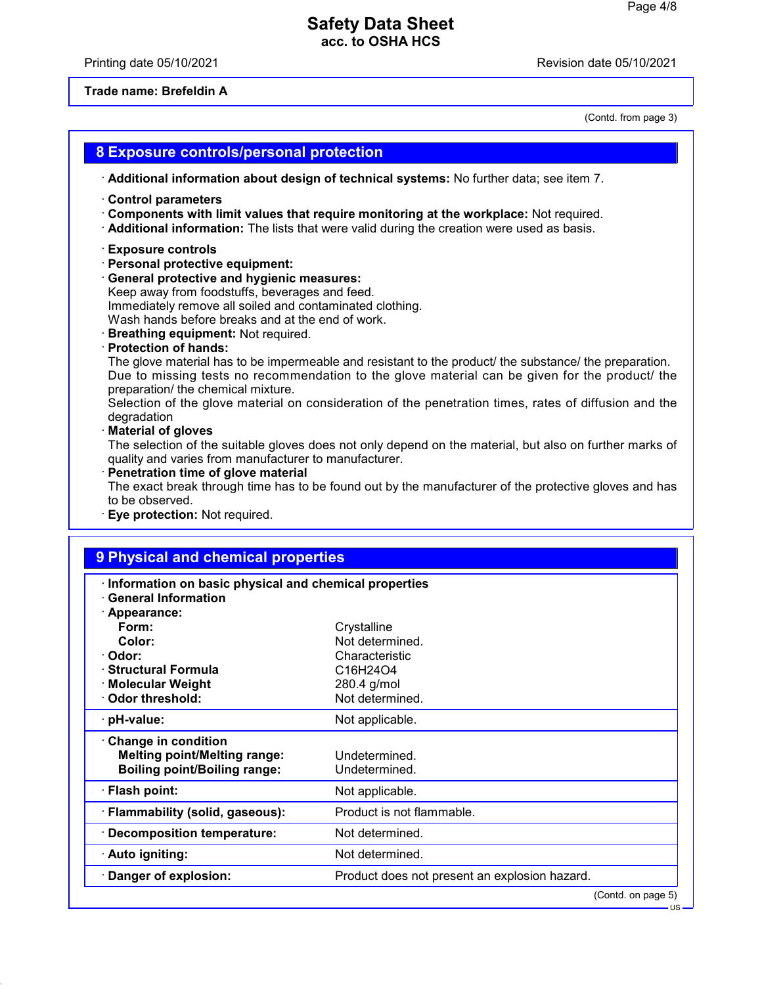Printing date 05/10/2021 **Printing date 05/10/2021** 

#### **Trade name: Brefeldin A**

(Contd. from page 3)

# **8 Exposure controls/personal protection** · **Additional information about design of technical systems:** No further data; see item 7. · **Control parameters** · **Components with limit values that require monitoring at the workplace:** Not required. · **Additional information:** The lists that were valid during the creation were used as basis. · **Exposure controls** · **Personal protective equipment:** · **General protective and hygienic measures:** Keep away from foodstuffs, beverages and feed. Immediately remove all soiled and contaminated clothing. Wash hands before breaks and at the end of work. · **Breathing equipment:** Not required. · **Protection of hands:** The glove material has to be impermeable and resistant to the product/ the substance/ the preparation. Due to missing tests no recommendation to the glove material can be given for the product/ the preparation/ the chemical mixture. Selection of the glove material on consideration of the penetration times, rates of diffusion and the degradation · **Material of gloves** The selection of the suitable gloves does not only depend on the material, but also on further marks of quality and varies from manufacturer to manufacturer. · **Penetration time of glove material** The exact break through time has to be found out by the manufacturer of the protective gloves and has to be observed. · **Eye protection:** Not required. **9 Physical and chemical properties** · **Information on basic physical and chemical properties**

| <u>milumation on basic privsical and chemical properties</u><br><b>General Information</b> |                                                |
|--------------------------------------------------------------------------------------------|------------------------------------------------|
| · Appearance:                                                                              |                                                |
| Form:                                                                                      | Crystalline                                    |
| Color:                                                                                     | Not determined.                                |
| · Odor:                                                                                    | Characteristic                                 |
| $\cdot$ Structural Formula                                                                 | C <sub>16</sub> H <sub>24</sub> O <sub>4</sub> |
| · Molecular Weight                                                                         | 280.4 g/mol                                    |
| ⋅ Odor threshold:                                                                          | Not determined.                                |
| · pH-value:                                                                                | Not applicable.                                |
| $\cdot$ Change in condition                                                                |                                                |
| <b>Melting point/Melting range:</b>                                                        | Undetermined.                                  |
| <b>Boiling point/Boiling range:</b>                                                        | Undetermined.                                  |
| $\cdot$ Flash point:                                                                       | Not applicable.                                |
| · Flammability (solid, gaseous):                                                           | Product is not flammable.                      |
| $\cdot$ Decomposition temperature:                                                         | Not determined.                                |
| · Auto igniting:                                                                           | Not determined.                                |
| Danger of explosion:                                                                       | Product does not present an explosion hazard.  |
|                                                                                            | (Contd. on page 5)                             |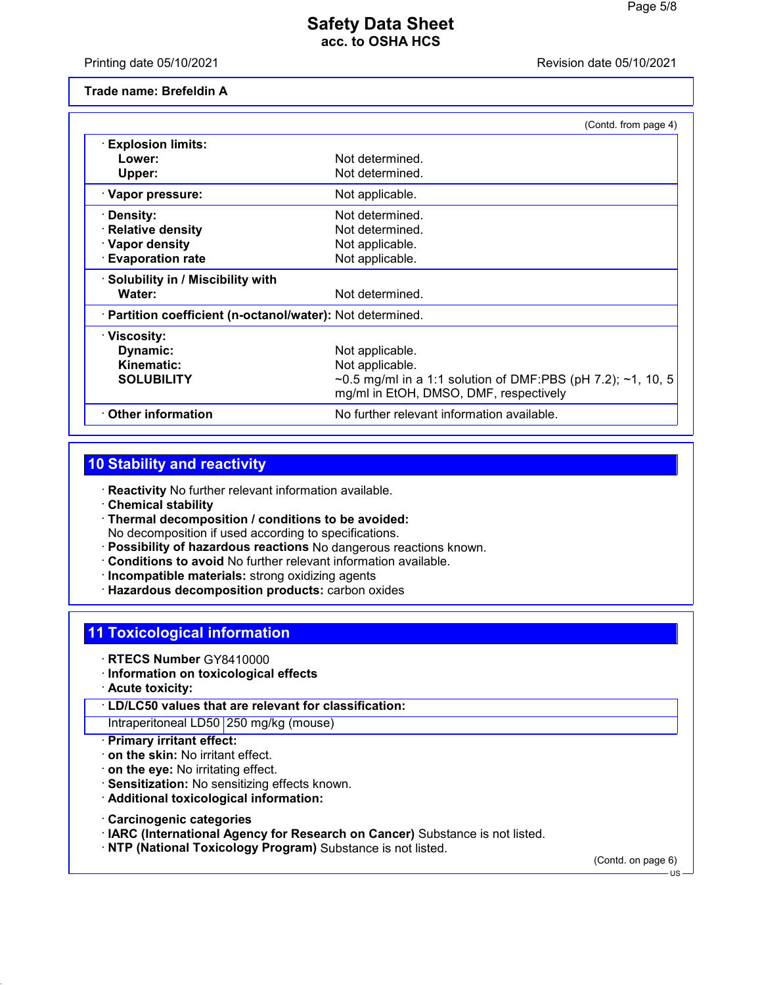Printing date 05/10/2021 Revision date 05/10/2021

**Trade name: Brefeldin A**

|                                                            | (Contd. from page 4)                                                                                  |
|------------------------------------------------------------|-------------------------------------------------------------------------------------------------------|
| <b>Explosion limits:</b>                                   |                                                                                                       |
| Lower:                                                     | Not determined.                                                                                       |
| Upper:                                                     | Not determined.                                                                                       |
| · Vapor pressure:                                          | Not applicable.                                                                                       |
| · Density:                                                 | Not determined.                                                                                       |
| · Relative density                                         | Not determined.                                                                                       |
| · Vapor density                                            | Not applicable.                                                                                       |
| <b>Evaporation rate</b>                                    | Not applicable.                                                                                       |
| · Solubility in / Miscibility with                         |                                                                                                       |
| Water:                                                     | Not determined.                                                                                       |
| · Partition coefficient (n-octanol/water): Not determined. |                                                                                                       |
| ∴ Viscosity:                                               |                                                                                                       |
| Dynamic:                                                   | Not applicable.                                                                                       |
| Kinematic:                                                 | Not applicable.                                                                                       |
| <b>SOLUBILITY</b>                                          | ~0.5 mg/ml in a 1:1 solution of DMF:PBS (pH 7.2); ~1, 10, 5<br>mg/ml in EtOH, DMSO, DMF, respectively |
| Other information                                          | No further relevant information available.                                                            |

# **10 Stability and reactivity**

· **Reactivity** No further relevant information available.

- · **Chemical stability**
- · **Thermal decomposition / conditions to be avoided:** No decomposition if used according to specifications.
- · **Possibility of hazardous reactions** No dangerous reactions known.
- · **Conditions to avoid** No further relevant information available.
- · **Incompatible materials:** strong oxidizing agents
- · **Hazardous decomposition products:** carbon oxides

# **11 Toxicological information**

- · **RTECS Number** GY8410000
- · **Information on toxicological effects**
- · **Acute toxicity:**
- · **LD/LC50 values that are relevant for classification:**

Intraperitoneal LD50 250 mg/kg (mouse)

- · **Primary irritant effect:**
- · **on the skin:** No irritant effect.
- · **on the eye:** No irritating effect.
- · **Sensitization:** No sensitizing effects known.
- · **Additional toxicological information:**
- · **Carcinogenic categories**
- · **IARC (International Agency for Research on Cancer)** Substance is not listed.
- · **NTP (National Toxicology Program)** Substance is not listed.

(Contd. on page 6)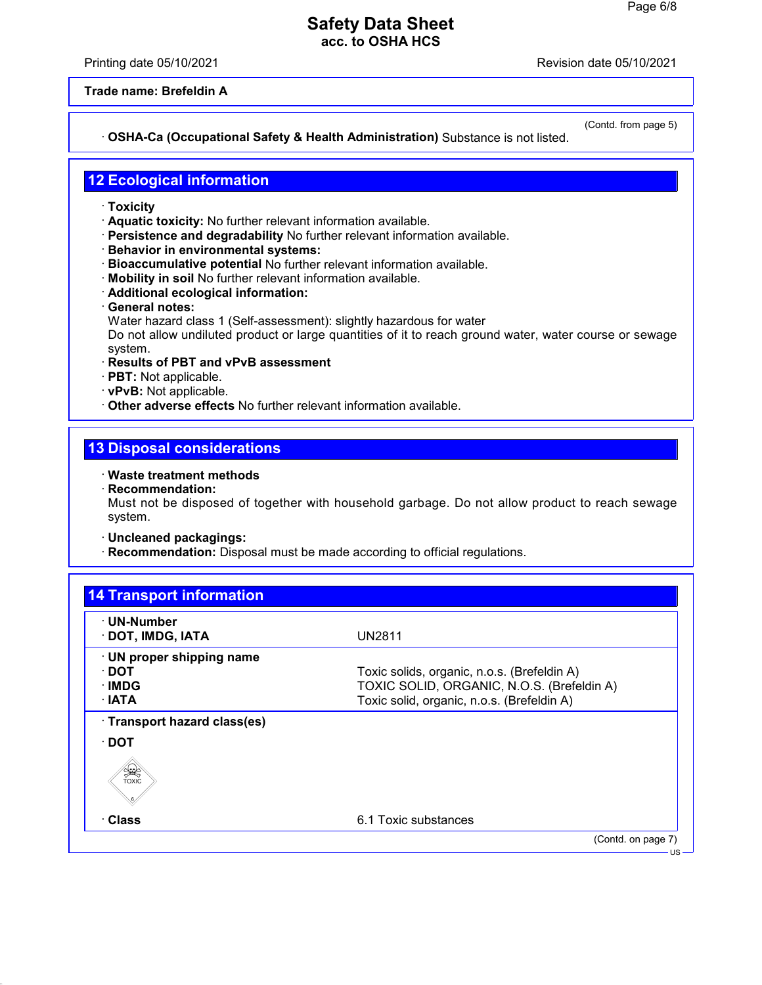Printing date 05/10/2021 Revision date 05/10/2021

**Trade name: Brefeldin A**

#### · **OSHA-Ca (Occupational Safety & Health Administration)** Substance is not listed.

(Contd. from page 5)

# **12 Ecological information**

- · **Toxicity**
- · **Aquatic toxicity:** No further relevant information available.
- · **Persistence and degradability** No further relevant information available.
- · **Behavior in environmental systems:**
- · **Bioaccumulative potential** No further relevant information available.
- · **Mobility in soil** No further relevant information available.
- · **Additional ecological information:**
- · **General notes:**
- Water hazard class 1 (Self-assessment): slightly hazardous for water

Do not allow undiluted product or large quantities of it to reach ground water, water course or sewage system.

- · **Results of PBT and vPvB assessment**
- · **PBT:** Not applicable.
- · **vPvB:** Not applicable.
- · **Other adverse effects** No further relevant information available.

# **13 Disposal considerations**

- · **Waste treatment methods**
- · **Recommendation:**

Must not be disposed of together with household garbage. Do not allow product to reach sewage system.

- · **Uncleaned packagings:**
- · **Recommendation:** Disposal must be made according to official regulations.

| · UN-Number<br>· DOT, IMDG, IATA | <b>UN2811</b>                               |
|----------------------------------|---------------------------------------------|
| · UN proper shipping name        |                                             |
| ∙ DOT                            | Toxic solids, organic, n.o.s. (Brefeldin A) |
| ∴IMDG                            | TOXIC SOLID, ORGANIC, N.O.S. (Brefeldin A)  |
| $\cdot$ IATA                     | Toxic solid, organic, n.o.s. (Brefeldin A)  |
| · Transport hazard class(es)     |                                             |
| ∙ DOT                            |                                             |
| SEEP<br>TOXIC                    |                                             |
| · Class                          | 6.1 Toxic substances                        |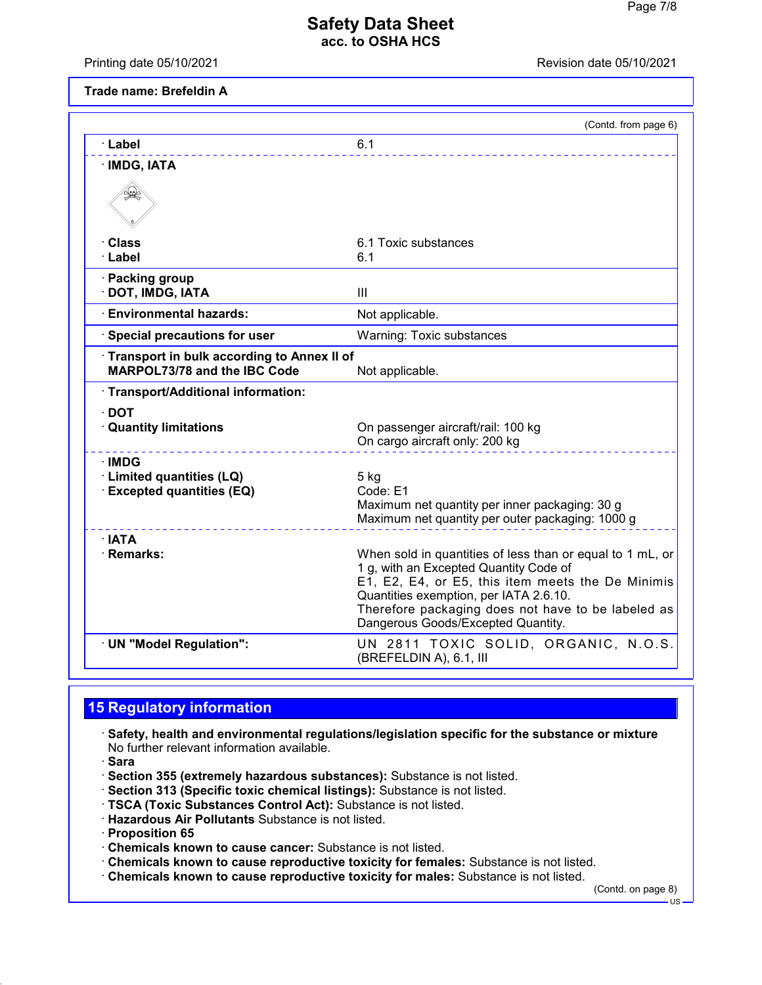Printing date 05/10/2021 **Printing date 05/10/2021** 

**Trade name: Brefeldin A**

|                                                                              | (Contd. from page 6)                                                                                                                                                                                                                                                                           |
|------------------------------------------------------------------------------|------------------------------------------------------------------------------------------------------------------------------------------------------------------------------------------------------------------------------------------------------------------------------------------------|
| · Label                                                                      | 6.1                                                                                                                                                                                                                                                                                            |
| · IMDG, IATA                                                                 |                                                                                                                                                                                                                                                                                                |
| \$                                                                           |                                                                                                                                                                                                                                                                                                |
| · Class                                                                      | 6.1 Toxic substances                                                                                                                                                                                                                                                                           |
| · Label                                                                      | 6.1                                                                                                                                                                                                                                                                                            |
| · Packing group<br>· DOT, IMDG, IATA                                         | III                                                                                                                                                                                                                                                                                            |
| <b>Environmental hazards:</b>                                                | Not applicable.                                                                                                                                                                                                                                                                                |
| Special precautions for user                                                 | Warning: Toxic substances                                                                                                                                                                                                                                                                      |
| Transport in bulk according to Annex II of<br>MARPOL73/78 and the IBC Code   | Not applicable.                                                                                                                                                                                                                                                                                |
| · Transport/Additional information:                                          |                                                                                                                                                                                                                                                                                                |
| $\cdot$ DOT<br>· Quantity limitations                                        | On passenger aircraft/rail: 100 kg<br>On cargo aircraft only: 200 kg                                                                                                                                                                                                                           |
| $\cdot$ IMDG<br>· Limited quantities (LQ)<br><b>Excepted quantities (EQ)</b> | $5$ kg<br>Code: E1<br>Maximum net quantity per inner packaging: 30 g<br>Maximum net quantity per outer packaging: 1000 g                                                                                                                                                                       |
| $\cdot$ IATA<br>· Remarks:                                                   | When sold in quantities of less than or equal to 1 mL, or<br>1 g, with an Excepted Quantity Code of<br>E1, E2, E4, or E5, this item meets the De Minimis<br>Quantities exemption, per IATA 2.6.10.<br>Therefore packaging does not have to be labeled as<br>Dangerous Goods/Excepted Quantity. |
| · UN "Model Regulation":                                                     | UN 2811 TOXIC SOLID, ORGANIC, N.O.S.<br>(BREFELDIN A), 6.1, III                                                                                                                                                                                                                                |

# **15 Regulatory information**

· **Safety, health and environmental regulations/legislation specific for the substance or mixture** No further relevant information available.

· **Sara**

- · **Section 355 (extremely hazardous substances):** Substance is not listed.
- · **Section 313 (Specific toxic chemical listings):** Substance is not listed.
- · **TSCA (Toxic Substances Control Act):** Substance is not listed.
- · **Hazardous Air Pollutants** Substance is not listed.

· **Proposition 65**

- · **Chemicals known to cause cancer:** Substance is not listed.
- · **Chemicals known to cause reproductive toxicity for females:** Substance is not listed.
- · **Chemicals known to cause reproductive toxicity for males:** Substance is not listed.

(Contd. on page 8)

 $-$  US -